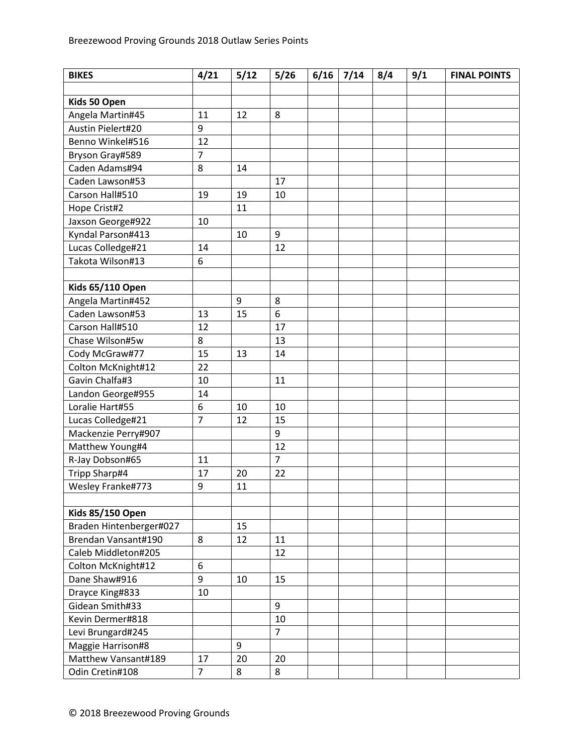| <b>BIKES</b>            | 4/21           | 5/12 | 5/26           | 6/16 | 7/14 | 8/4 | 9/1 | <b>FINAL POINTS</b> |
|-------------------------|----------------|------|----------------|------|------|-----|-----|---------------------|
|                         |                |      |                |      |      |     |     |                     |
| Kids 50 Open            |                |      |                |      |      |     |     |                     |
| Angela Martin#45        | 11             | 12   | 8              |      |      |     |     |                     |
| Austin Pielert#20       | 9              |      |                |      |      |     |     |                     |
| Benno Winkel#516        | 12             |      |                |      |      |     |     |                     |
| Bryson Gray#589         | $\overline{7}$ |      |                |      |      |     |     |                     |
| Caden Adams#94          | 8              | 14   |                |      |      |     |     |                     |
| Caden Lawson#53         |                |      | 17             |      |      |     |     |                     |
| Carson Hall#510         | 19             | 19   | 10             |      |      |     |     |                     |
| Hope Crist#2            |                | 11   |                |      |      |     |     |                     |
| Jaxson George#922       | 10             |      |                |      |      |     |     |                     |
| Kyndal Parson#413       |                | 10   | 9              |      |      |     |     |                     |
| Lucas Colledge#21       | 14             |      | 12             |      |      |     |     |                     |
| Takota Wilson#13        | 6              |      |                |      |      |     |     |                     |
|                         |                |      |                |      |      |     |     |                     |
| <b>Kids 65/110 Open</b> |                |      |                |      |      |     |     |                     |
| Angela Martin#452       |                | 9    | 8              |      |      |     |     |                     |
| Caden Lawson#53         | 13             | 15   | 6              |      |      |     |     |                     |
| Carson Hall#510         | 12             |      | 17             |      |      |     |     |                     |
| Chase Wilson#5w         | 8              |      | 13             |      |      |     |     |                     |
| Cody McGraw#77          | 15             | 13   | 14             |      |      |     |     |                     |
| Colton McKnight#12      | 22             |      |                |      |      |     |     |                     |
| Gavin Chalfa#3          | 10             |      | 11             |      |      |     |     |                     |
| Landon George#955       | 14             |      |                |      |      |     |     |                     |
| Loralie Hart#55         | 6              | 10   | 10             |      |      |     |     |                     |
| Lucas Colledge#21       | $\overline{7}$ | 12   | 15             |      |      |     |     |                     |
| Mackenzie Perry#907     |                |      | 9              |      |      |     |     |                     |
| Matthew Young#4         |                |      | 12             |      |      |     |     |                     |
| R-Jay Dobson#65         | 11             |      | $\overline{7}$ |      |      |     |     |                     |
| Tripp Sharp#4           | 17             | 20   | 22             |      |      |     |     |                     |
| Wesley Franke#773       | 9              | 11   |                |      |      |     |     |                     |
|                         |                |      |                |      |      |     |     |                     |
| <b>Kids 85/150 Open</b> |                |      |                |      |      |     |     |                     |
| Braden Hintenberger#027 |                | 15   |                |      |      |     |     |                     |
| Brendan Vansant#190     | 8              | 12   | 11             |      |      |     |     |                     |
| Caleb Middleton#205     |                |      | 12             |      |      |     |     |                     |
| Colton McKnight#12      | 6              |      |                |      |      |     |     |                     |
| Dane Shaw#916           | 9              | 10   | 15             |      |      |     |     |                     |
| Drayce King#833         | 10             |      |                |      |      |     |     |                     |
| Gidean Smith#33         |                |      | 9              |      |      |     |     |                     |
| Kevin Dermer#818        |                |      | 10             |      |      |     |     |                     |
| Levi Brungard#245       |                |      | $\overline{7}$ |      |      |     |     |                     |
| Maggie Harrison#8       |                | 9    |                |      |      |     |     |                     |
| Matthew Vansant#189     | 17             | 20   | 20             |      |      |     |     |                     |
| Odin Cretin#108         | $\overline{7}$ | 8    | 8              |      |      |     |     |                     |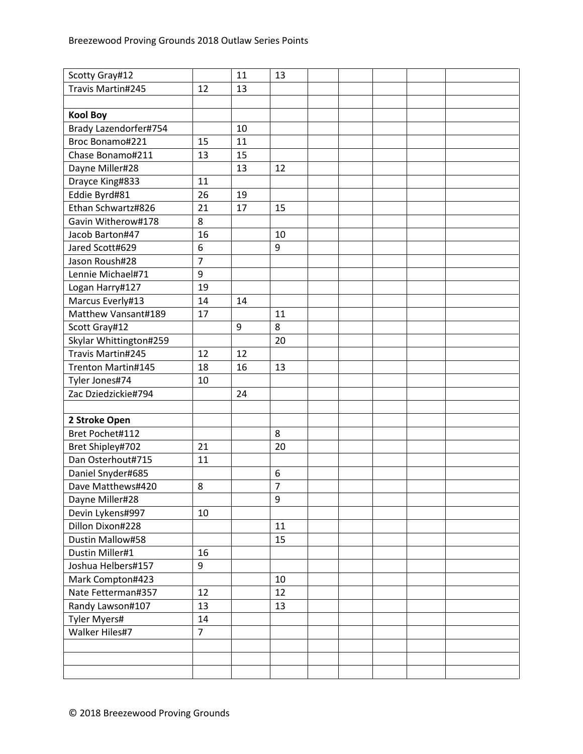| Scotty Gray#12         |                | 11 | 13             |  |  |  |
|------------------------|----------------|----|----------------|--|--|--|
| Travis Martin#245      | 12             | 13 |                |  |  |  |
|                        |                |    |                |  |  |  |
| <b>Kool Boy</b>        |                |    |                |  |  |  |
| Brady Lazendorfer#754  |                | 10 |                |  |  |  |
| Broc Bonamo#221        | 15             | 11 |                |  |  |  |
| Chase Bonamo#211       | 13             | 15 |                |  |  |  |
| Dayne Miller#28        |                | 13 | 12             |  |  |  |
| Drayce King#833        | 11             |    |                |  |  |  |
| Eddie Byrd#81          | 26             | 19 |                |  |  |  |
| Ethan Schwartz#826     | 21             | 17 | 15             |  |  |  |
| Gavin Witherow#178     | 8              |    |                |  |  |  |
| Jacob Barton#47        | 16             |    | 10             |  |  |  |
| Jared Scott#629        | 6              |    | 9              |  |  |  |
| Jason Roush#28         | $\overline{7}$ |    |                |  |  |  |
| Lennie Michael#71      | 9              |    |                |  |  |  |
| Logan Harry#127        | 19             |    |                |  |  |  |
| Marcus Everly#13       | 14             | 14 |                |  |  |  |
| Matthew Vansant#189    | 17             |    | 11             |  |  |  |
| Scott Gray#12          |                | 9  | 8              |  |  |  |
| Skylar Whittington#259 |                |    | 20             |  |  |  |
| Travis Martin#245      | 12             | 12 |                |  |  |  |
| Trenton Martin#145     | 18             | 16 | 13             |  |  |  |
| Tyler Jones#74         | 10             |    |                |  |  |  |
| Zac Dziedzickie#794    |                | 24 |                |  |  |  |
|                        |                |    |                |  |  |  |
| 2 Stroke Open          |                |    |                |  |  |  |
| Bret Pochet#112        |                |    | 8              |  |  |  |
| Bret Shipley#702       | 21             |    | 20             |  |  |  |
| Dan Osterhout#715      | 11             |    |                |  |  |  |
| Daniel Snyder#685      |                |    | 6              |  |  |  |
| Dave Matthews#420      | 8              |    | $\overline{7}$ |  |  |  |
| Dayne Miller#28        |                |    | 9              |  |  |  |
| Devin Lykens#997       | 10             |    |                |  |  |  |
| Dillon Dixon#228       |                |    | 11             |  |  |  |
| Dustin Mallow#58       |                |    | 15             |  |  |  |
| Dustin Miller#1        | 16             |    |                |  |  |  |
| Joshua Helbers#157     | 9              |    |                |  |  |  |
| Mark Compton#423       |                |    | 10             |  |  |  |
| Nate Fetterman#357     | 12             |    | 12             |  |  |  |
| Randy Lawson#107       | 13             |    | 13             |  |  |  |
| Tyler Myers#           | 14             |    |                |  |  |  |
| Walker Hiles#7         | $\overline{7}$ |    |                |  |  |  |
|                        |                |    |                |  |  |  |
|                        |                |    |                |  |  |  |
|                        |                |    |                |  |  |  |
|                        |                |    |                |  |  |  |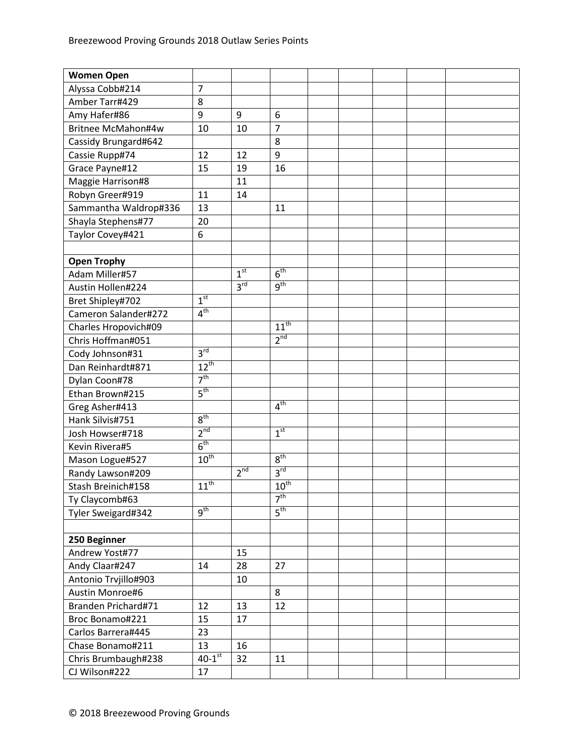| <b>Women Open</b>     |                      |                 |                  |  |  |  |
|-----------------------|----------------------|-----------------|------------------|--|--|--|
| Alyssa Cobb#214       | $\overline{7}$       |                 |                  |  |  |  |
| Amber Tarr#429        | 8                    |                 |                  |  |  |  |
| Amy Hafer#86          | 9                    | 9               | 6                |  |  |  |
| Britnee McMahon#4w    | 10                   | 10              | $\overline{7}$   |  |  |  |
| Cassidy Brungard#642  |                      |                 | 8                |  |  |  |
| Cassie Rupp#74        | 12                   | 12              | 9                |  |  |  |
| Grace Payne#12        | 15                   | 19              | 16               |  |  |  |
| Maggie Harrison#8     |                      | 11              |                  |  |  |  |
| Robyn Greer#919       | 11                   | 14              |                  |  |  |  |
| Sammantha Waldrop#336 | 13                   |                 | 11               |  |  |  |
| Shayla Stephens#77    | 20                   |                 |                  |  |  |  |
| Taylor Covey#421      | 6                    |                 |                  |  |  |  |
|                       |                      |                 |                  |  |  |  |
| <b>Open Trophy</b>    |                      |                 |                  |  |  |  |
| Adam Miller#57        |                      | 1 <sup>st</sup> | 6 <sup>th</sup>  |  |  |  |
| Austin Hollen#224     |                      | 3 <sup>rd</sup> | 9 <sup>th</sup>  |  |  |  |
| Bret Shipley#702      | 1 <sup>st</sup>      |                 |                  |  |  |  |
| Cameron Salander#272  | 4 <sup>th</sup>      |                 |                  |  |  |  |
| Charles Hropovich#09  |                      |                 | $11^{th}$        |  |  |  |
| Chris Hoffman#051     |                      |                 | 2 <sup>nd</sup>  |  |  |  |
| Cody Johnson#31       | 3 <sup>rd</sup>      |                 |                  |  |  |  |
| Dan Reinhardt#871     | $12^{th}$            |                 |                  |  |  |  |
| Dylan Coon#78         | 7 <sup>th</sup>      |                 |                  |  |  |  |
| Ethan Brown#215       | 5 <sup>th</sup>      |                 |                  |  |  |  |
| Greg Asher#413        |                      |                 | 4 <sup>th</sup>  |  |  |  |
| Hank Silvis#751       | 8 <sup>th</sup>      |                 |                  |  |  |  |
| Josh Howser#718       | 2 <sup>nd</sup>      |                 | 1 <sup>st</sup>  |  |  |  |
| Kevin Rivera#5        | 6 <sup>th</sup>      |                 |                  |  |  |  |
| Mason Logue#527       | $10^{th}$            |                 | 8 <sup>th</sup>  |  |  |  |
| Randy Lawson#209      |                      | 2 <sup>nd</sup> | 3 <sup>rd</sup>  |  |  |  |
| Stash Breinich#158    | $11^{th}$            |                 | 10 <sup>th</sup> |  |  |  |
| Ty Claycomb#63        |                      |                 | 7 <sup>th</sup>  |  |  |  |
| Tyler Sweigard#342    | $q^{th}$             |                 | 5 <sup>th</sup>  |  |  |  |
|                       |                      |                 |                  |  |  |  |
| 250 Beginner          |                      |                 |                  |  |  |  |
| Andrew Yost#77        |                      | 15              |                  |  |  |  |
| Andy Claar#247        | 14                   | 28              | 27               |  |  |  |
| Antonio Trvjillo#903  |                      | 10              |                  |  |  |  |
| Austin Monroe#6       |                      |                 | 8                |  |  |  |
| Branden Prichard#71   | 12                   | 13              | 12               |  |  |  |
| Broc Bonamo#221       | 15                   | 17              |                  |  |  |  |
| Carlos Barrera#445    | 23                   |                 |                  |  |  |  |
| Chase Bonamo#211      | 13                   | 16              |                  |  |  |  |
| Chris Brumbaugh#238   | $40-1$ <sup>st</sup> | 32              | 11               |  |  |  |
| CJ Wilson#222         | 17                   |                 |                  |  |  |  |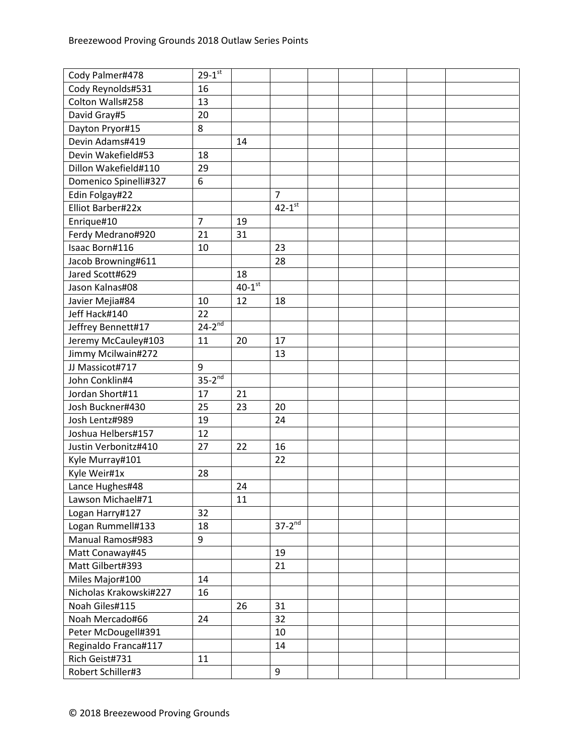| Cody Reynolds#531<br>16<br>Colton Walls#258<br>13<br>David Gray#5<br>20<br>Dayton Pryor#15<br>8<br>Devin Adams#419<br>14<br>Devin Wakefield#53<br>18<br>Dillon Wakefield#110<br>29<br>Domenico Spinelli#327<br>6<br>Edin Folgay#22<br>$\overline{7}$<br>$42-1$ <sup>st</sup><br>Elliot Barber#22x<br>$\overline{7}$<br>Enrique#10<br>19<br>Ferdy Medrano#920<br>21<br>31<br>Isaac Born#116<br>23<br>10<br>Jacob Browning#611<br>28<br>Jared Scott#629<br>18<br>$40-1$ <sup>st</sup><br>Jason Kalnas#08<br>12<br>18<br>Javier Mejia#84<br>10<br>Jeff Hack#140<br>22<br>$24-2^{nd}$<br>Jeffrey Bennett#17<br>Jeremy McCauley#103<br>17<br>11<br>20<br>Jimmy Mcilwain#272<br>13<br>JJ Massicot#717<br>9<br>$35-2^{nd}$<br>John Conklin#4<br>Jordan Short#11<br>17<br>21<br>Josh Buckner#430<br>25<br>23<br>20<br>Josh Lentz#989<br>24<br>19<br>12<br>Joshua Helbers#157<br>Justin Verbonitz#410<br>27<br>22<br>16<br>22<br>Kyle Murray#101<br>Kyle Weir#1x<br>28<br>Lance Hughes#48<br>24<br>Lawson Michael#71<br>11<br>32<br>Logan Harry#127<br>$37-2^{nd}$<br>Logan Rummell#133<br>18<br>Manual Ramos#983<br>9<br>Matt Conaway#45<br>19<br>Matt Gilbert#393<br>21<br>Miles Major#100<br>14<br>Nicholas Krakowski#227<br>16<br>Noah Giles#115<br>26<br>31<br>Noah Mercado#66<br>32<br>24<br>Peter McDougell#391<br>10<br>Reginaldo Franca#117<br>14<br>Rich Geist#731<br>11<br>Robert Schiller#3<br>9 | Cody Palmer#478 | $29 - 1$ <sup>st</sup> |  |  |  |  |
|-----------------------------------------------------------------------------------------------------------------------------------------------------------------------------------------------------------------------------------------------------------------------------------------------------------------------------------------------------------------------------------------------------------------------------------------------------------------------------------------------------------------------------------------------------------------------------------------------------------------------------------------------------------------------------------------------------------------------------------------------------------------------------------------------------------------------------------------------------------------------------------------------------------------------------------------------------------------------------------------------------------------------------------------------------------------------------------------------------------------------------------------------------------------------------------------------------------------------------------------------------------------------------------------------------------------------------------------------------------------------------------------------------|-----------------|------------------------|--|--|--|--|
|                                                                                                                                                                                                                                                                                                                                                                                                                                                                                                                                                                                                                                                                                                                                                                                                                                                                                                                                                                                                                                                                                                                                                                                                                                                                                                                                                                                                     |                 |                        |  |  |  |  |
|                                                                                                                                                                                                                                                                                                                                                                                                                                                                                                                                                                                                                                                                                                                                                                                                                                                                                                                                                                                                                                                                                                                                                                                                                                                                                                                                                                                                     |                 |                        |  |  |  |  |
|                                                                                                                                                                                                                                                                                                                                                                                                                                                                                                                                                                                                                                                                                                                                                                                                                                                                                                                                                                                                                                                                                                                                                                                                                                                                                                                                                                                                     |                 |                        |  |  |  |  |
|                                                                                                                                                                                                                                                                                                                                                                                                                                                                                                                                                                                                                                                                                                                                                                                                                                                                                                                                                                                                                                                                                                                                                                                                                                                                                                                                                                                                     |                 |                        |  |  |  |  |
|                                                                                                                                                                                                                                                                                                                                                                                                                                                                                                                                                                                                                                                                                                                                                                                                                                                                                                                                                                                                                                                                                                                                                                                                                                                                                                                                                                                                     |                 |                        |  |  |  |  |
|                                                                                                                                                                                                                                                                                                                                                                                                                                                                                                                                                                                                                                                                                                                                                                                                                                                                                                                                                                                                                                                                                                                                                                                                                                                                                                                                                                                                     |                 |                        |  |  |  |  |
|                                                                                                                                                                                                                                                                                                                                                                                                                                                                                                                                                                                                                                                                                                                                                                                                                                                                                                                                                                                                                                                                                                                                                                                                                                                                                                                                                                                                     |                 |                        |  |  |  |  |
|                                                                                                                                                                                                                                                                                                                                                                                                                                                                                                                                                                                                                                                                                                                                                                                                                                                                                                                                                                                                                                                                                                                                                                                                                                                                                                                                                                                                     |                 |                        |  |  |  |  |
|                                                                                                                                                                                                                                                                                                                                                                                                                                                                                                                                                                                                                                                                                                                                                                                                                                                                                                                                                                                                                                                                                                                                                                                                                                                                                                                                                                                                     |                 |                        |  |  |  |  |
|                                                                                                                                                                                                                                                                                                                                                                                                                                                                                                                                                                                                                                                                                                                                                                                                                                                                                                                                                                                                                                                                                                                                                                                                                                                                                                                                                                                                     |                 |                        |  |  |  |  |
|                                                                                                                                                                                                                                                                                                                                                                                                                                                                                                                                                                                                                                                                                                                                                                                                                                                                                                                                                                                                                                                                                                                                                                                                                                                                                                                                                                                                     |                 |                        |  |  |  |  |
|                                                                                                                                                                                                                                                                                                                                                                                                                                                                                                                                                                                                                                                                                                                                                                                                                                                                                                                                                                                                                                                                                                                                                                                                                                                                                                                                                                                                     |                 |                        |  |  |  |  |
|                                                                                                                                                                                                                                                                                                                                                                                                                                                                                                                                                                                                                                                                                                                                                                                                                                                                                                                                                                                                                                                                                                                                                                                                                                                                                                                                                                                                     |                 |                        |  |  |  |  |
|                                                                                                                                                                                                                                                                                                                                                                                                                                                                                                                                                                                                                                                                                                                                                                                                                                                                                                                                                                                                                                                                                                                                                                                                                                                                                                                                                                                                     |                 |                        |  |  |  |  |
|                                                                                                                                                                                                                                                                                                                                                                                                                                                                                                                                                                                                                                                                                                                                                                                                                                                                                                                                                                                                                                                                                                                                                                                                                                                                                                                                                                                                     |                 |                        |  |  |  |  |
|                                                                                                                                                                                                                                                                                                                                                                                                                                                                                                                                                                                                                                                                                                                                                                                                                                                                                                                                                                                                                                                                                                                                                                                                                                                                                                                                                                                                     |                 |                        |  |  |  |  |
|                                                                                                                                                                                                                                                                                                                                                                                                                                                                                                                                                                                                                                                                                                                                                                                                                                                                                                                                                                                                                                                                                                                                                                                                                                                                                                                                                                                                     |                 |                        |  |  |  |  |
|                                                                                                                                                                                                                                                                                                                                                                                                                                                                                                                                                                                                                                                                                                                                                                                                                                                                                                                                                                                                                                                                                                                                                                                                                                                                                                                                                                                                     |                 |                        |  |  |  |  |
|                                                                                                                                                                                                                                                                                                                                                                                                                                                                                                                                                                                                                                                                                                                                                                                                                                                                                                                                                                                                                                                                                                                                                                                                                                                                                                                                                                                                     |                 |                        |  |  |  |  |
|                                                                                                                                                                                                                                                                                                                                                                                                                                                                                                                                                                                                                                                                                                                                                                                                                                                                                                                                                                                                                                                                                                                                                                                                                                                                                                                                                                                                     |                 |                        |  |  |  |  |
|                                                                                                                                                                                                                                                                                                                                                                                                                                                                                                                                                                                                                                                                                                                                                                                                                                                                                                                                                                                                                                                                                                                                                                                                                                                                                                                                                                                                     |                 |                        |  |  |  |  |
|                                                                                                                                                                                                                                                                                                                                                                                                                                                                                                                                                                                                                                                                                                                                                                                                                                                                                                                                                                                                                                                                                                                                                                                                                                                                                                                                                                                                     |                 |                        |  |  |  |  |
|                                                                                                                                                                                                                                                                                                                                                                                                                                                                                                                                                                                                                                                                                                                                                                                                                                                                                                                                                                                                                                                                                                                                                                                                                                                                                                                                                                                                     |                 |                        |  |  |  |  |
|                                                                                                                                                                                                                                                                                                                                                                                                                                                                                                                                                                                                                                                                                                                                                                                                                                                                                                                                                                                                                                                                                                                                                                                                                                                                                                                                                                                                     |                 |                        |  |  |  |  |
|                                                                                                                                                                                                                                                                                                                                                                                                                                                                                                                                                                                                                                                                                                                                                                                                                                                                                                                                                                                                                                                                                                                                                                                                                                                                                                                                                                                                     |                 |                        |  |  |  |  |
|                                                                                                                                                                                                                                                                                                                                                                                                                                                                                                                                                                                                                                                                                                                                                                                                                                                                                                                                                                                                                                                                                                                                                                                                                                                                                                                                                                                                     |                 |                        |  |  |  |  |
|                                                                                                                                                                                                                                                                                                                                                                                                                                                                                                                                                                                                                                                                                                                                                                                                                                                                                                                                                                                                                                                                                                                                                                                                                                                                                                                                                                                                     |                 |                        |  |  |  |  |
|                                                                                                                                                                                                                                                                                                                                                                                                                                                                                                                                                                                                                                                                                                                                                                                                                                                                                                                                                                                                                                                                                                                                                                                                                                                                                                                                                                                                     |                 |                        |  |  |  |  |
|                                                                                                                                                                                                                                                                                                                                                                                                                                                                                                                                                                                                                                                                                                                                                                                                                                                                                                                                                                                                                                                                                                                                                                                                                                                                                                                                                                                                     |                 |                        |  |  |  |  |
|                                                                                                                                                                                                                                                                                                                                                                                                                                                                                                                                                                                                                                                                                                                                                                                                                                                                                                                                                                                                                                                                                                                                                                                                                                                                                                                                                                                                     |                 |                        |  |  |  |  |
|                                                                                                                                                                                                                                                                                                                                                                                                                                                                                                                                                                                                                                                                                                                                                                                                                                                                                                                                                                                                                                                                                                                                                                                                                                                                                                                                                                                                     |                 |                        |  |  |  |  |
|                                                                                                                                                                                                                                                                                                                                                                                                                                                                                                                                                                                                                                                                                                                                                                                                                                                                                                                                                                                                                                                                                                                                                                                                                                                                                                                                                                                                     |                 |                        |  |  |  |  |
|                                                                                                                                                                                                                                                                                                                                                                                                                                                                                                                                                                                                                                                                                                                                                                                                                                                                                                                                                                                                                                                                                                                                                                                                                                                                                                                                                                                                     |                 |                        |  |  |  |  |
|                                                                                                                                                                                                                                                                                                                                                                                                                                                                                                                                                                                                                                                                                                                                                                                                                                                                                                                                                                                                                                                                                                                                                                                                                                                                                                                                                                                                     |                 |                        |  |  |  |  |
|                                                                                                                                                                                                                                                                                                                                                                                                                                                                                                                                                                                                                                                                                                                                                                                                                                                                                                                                                                                                                                                                                                                                                                                                                                                                                                                                                                                                     |                 |                        |  |  |  |  |
|                                                                                                                                                                                                                                                                                                                                                                                                                                                                                                                                                                                                                                                                                                                                                                                                                                                                                                                                                                                                                                                                                                                                                                                                                                                                                                                                                                                                     |                 |                        |  |  |  |  |
|                                                                                                                                                                                                                                                                                                                                                                                                                                                                                                                                                                                                                                                                                                                                                                                                                                                                                                                                                                                                                                                                                                                                                                                                                                                                                                                                                                                                     |                 |                        |  |  |  |  |
|                                                                                                                                                                                                                                                                                                                                                                                                                                                                                                                                                                                                                                                                                                                                                                                                                                                                                                                                                                                                                                                                                                                                                                                                                                                                                                                                                                                                     |                 |                        |  |  |  |  |
|                                                                                                                                                                                                                                                                                                                                                                                                                                                                                                                                                                                                                                                                                                                                                                                                                                                                                                                                                                                                                                                                                                                                                                                                                                                                                                                                                                                                     |                 |                        |  |  |  |  |
|                                                                                                                                                                                                                                                                                                                                                                                                                                                                                                                                                                                                                                                                                                                                                                                                                                                                                                                                                                                                                                                                                                                                                                                                                                                                                                                                                                                                     |                 |                        |  |  |  |  |
|                                                                                                                                                                                                                                                                                                                                                                                                                                                                                                                                                                                                                                                                                                                                                                                                                                                                                                                                                                                                                                                                                                                                                                                                                                                                                                                                                                                                     |                 |                        |  |  |  |  |
|                                                                                                                                                                                                                                                                                                                                                                                                                                                                                                                                                                                                                                                                                                                                                                                                                                                                                                                                                                                                                                                                                                                                                                                                                                                                                                                                                                                                     |                 |                        |  |  |  |  |
|                                                                                                                                                                                                                                                                                                                                                                                                                                                                                                                                                                                                                                                                                                                                                                                                                                                                                                                                                                                                                                                                                                                                                                                                                                                                                                                                                                                                     |                 |                        |  |  |  |  |
|                                                                                                                                                                                                                                                                                                                                                                                                                                                                                                                                                                                                                                                                                                                                                                                                                                                                                                                                                                                                                                                                                                                                                                                                                                                                                                                                                                                                     |                 |                        |  |  |  |  |
|                                                                                                                                                                                                                                                                                                                                                                                                                                                                                                                                                                                                                                                                                                                                                                                                                                                                                                                                                                                                                                                                                                                                                                                                                                                                                                                                                                                                     |                 |                        |  |  |  |  |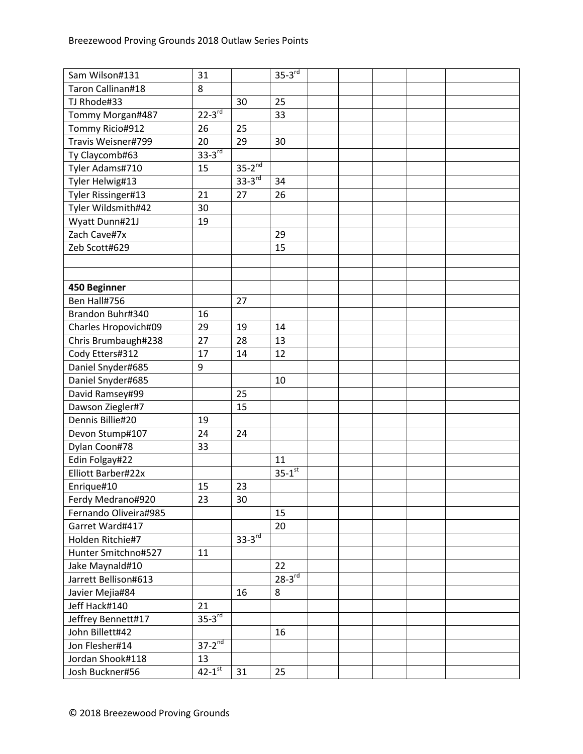| Sam Wilson#131        | 31                     |               | $35-3^{rd}$            |  |  |  |
|-----------------------|------------------------|---------------|------------------------|--|--|--|
| Taron Callinan#18     | 8                      |               |                        |  |  |  |
| TJ Rhode#33           |                        | 30            | 25                     |  |  |  |
| Tommy Morgan#487      | $22 - 3^{rd}$          |               | 33                     |  |  |  |
| Tommy Ricio#912       | 26                     | 25            |                        |  |  |  |
| Travis Weisner#799    | 20                     | 29            | 30                     |  |  |  |
| Ty Claycomb#63        | $33-3^{rd}$            |               |                        |  |  |  |
| Tyler Adams#710       | 15                     | $35-2^{nd}$   |                        |  |  |  |
| Tyler Helwig#13       |                        | $33-3rd$      | 34                     |  |  |  |
| Tyler Rissinger#13    | 21                     | 27            | 26                     |  |  |  |
| Tyler Wildsmith#42    | 30                     |               |                        |  |  |  |
| Wyatt Dunn#21J        | 19                     |               |                        |  |  |  |
| Zach Cave#7x          |                        |               | 29                     |  |  |  |
| Zeb Scott#629         |                        |               | 15                     |  |  |  |
|                       |                        |               |                        |  |  |  |
|                       |                        |               |                        |  |  |  |
| 450 Beginner          |                        |               |                        |  |  |  |
| Ben Hall#756          |                        | 27            |                        |  |  |  |
| Brandon Buhr#340      | 16                     |               |                        |  |  |  |
| Charles Hropovich#09  | 29                     | 19            | 14                     |  |  |  |
| Chris Brumbaugh#238   | 27                     | 28            | 13                     |  |  |  |
| Cody Etters#312       | 17                     | 14            | 12                     |  |  |  |
| Daniel Snyder#685     | 9                      |               |                        |  |  |  |
| Daniel Snyder#685     |                        |               | 10                     |  |  |  |
| David Ramsey#99       |                        | 25            |                        |  |  |  |
| Dawson Ziegler#7      |                        | 15            |                        |  |  |  |
| Dennis Billie#20      | 19                     |               |                        |  |  |  |
| Devon Stump#107       | 24                     | 24            |                        |  |  |  |
| Dylan Coon#78         | 33                     |               |                        |  |  |  |
| Edin Folgay#22        |                        |               | 11                     |  |  |  |
| Elliott Barber#22x    |                        |               | $35 - 1$ <sup>st</sup> |  |  |  |
| Enrique#10            | 15                     | 23            |                        |  |  |  |
| Ferdy Medrano#920     | 23                     | 30            |                        |  |  |  |
| Fernando Oliveira#985 |                        |               | 15                     |  |  |  |
| Garret Ward#417       |                        |               | 20                     |  |  |  |
| Holden Ritchie#7      |                        | $33 - 3^{rd}$ |                        |  |  |  |
| Hunter Smitchno#527   | 11                     |               |                        |  |  |  |
| Jake Maynald#10       |                        |               | 22                     |  |  |  |
| Jarrett Bellison#613  |                        |               | $28-3^{rd}$            |  |  |  |
| Javier Mejia#84       |                        | 16            | 8                      |  |  |  |
| Jeff Hack#140         | 21                     |               |                        |  |  |  |
| Jeffrey Bennett#17    | $35-3$ <sup>rd</sup>   |               |                        |  |  |  |
| John Billett#42       |                        |               | 16                     |  |  |  |
| Jon Flesher#14        | $37-2^{nd}$            |               |                        |  |  |  |
| Jordan Shook#118      | 13                     |               |                        |  |  |  |
| Josh Buckner#56       | $42 - 1$ <sup>st</sup> | 31            | 25                     |  |  |  |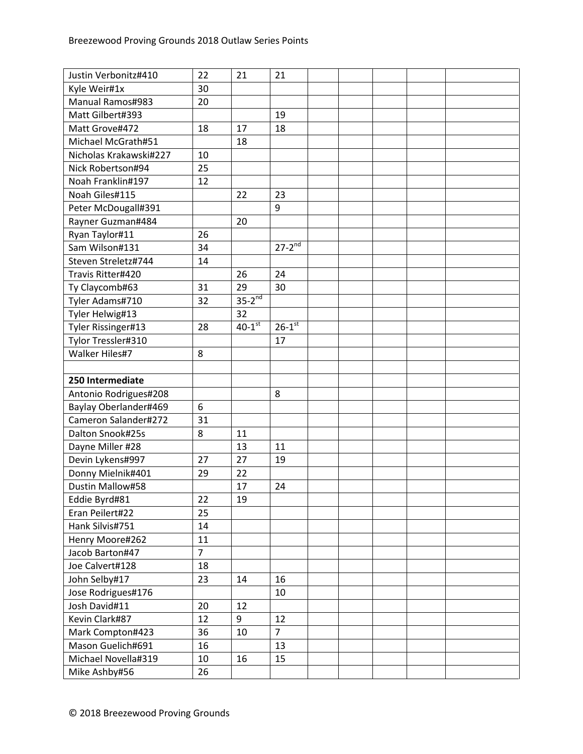| Justin Verbonitz#410    | 22             | 21                   | 21                   |  |  |  |
|-------------------------|----------------|----------------------|----------------------|--|--|--|
| Kyle Weir#1x            | 30             |                      |                      |  |  |  |
| <b>Manual Ramos#983</b> | 20             |                      |                      |  |  |  |
| Matt Gilbert#393        |                |                      | 19                   |  |  |  |
| Matt Grove#472          | 18             | 17                   | 18                   |  |  |  |
| Michael McGrath#51      |                | 18                   |                      |  |  |  |
| Nicholas Krakawski#227  | 10             |                      |                      |  |  |  |
| Nick Robertson#94       | 25             |                      |                      |  |  |  |
| Noah Franklin#197       | 12             |                      |                      |  |  |  |
| Noah Giles#115          |                | 22                   | 23                   |  |  |  |
| Peter McDougall#391     |                |                      | 9                    |  |  |  |
| Rayner Guzman#484       |                | 20                   |                      |  |  |  |
| Ryan Taylor#11          | 26             |                      |                      |  |  |  |
| Sam Wilson#131          | 34             |                      | $27 - 2^{nd}$        |  |  |  |
| Steven Streletz#744     | 14             |                      |                      |  |  |  |
| Travis Ritter#420       |                | 26                   | 24                   |  |  |  |
| Ty Claycomb#63          | 31             | 29                   | 30                   |  |  |  |
| Tyler Adams#710         | 32             | $35-2^{nd}$          |                      |  |  |  |
| Tyler Helwig#13         |                | 32                   |                      |  |  |  |
| Tyler Rissinger#13      | 28             | $40-1$ <sup>st</sup> | $26-1$ <sup>st</sup> |  |  |  |
| Tylor Tressler#310      |                |                      | 17                   |  |  |  |
| Walker Hiles#7          | 8              |                      |                      |  |  |  |
|                         |                |                      |                      |  |  |  |
| 250 Intermediate        |                |                      |                      |  |  |  |
| Antonio Rodrigues#208   |                |                      | 8                    |  |  |  |
| Baylay Oberlander#469   | 6              |                      |                      |  |  |  |
| Cameron Salander#272    | 31             |                      |                      |  |  |  |
| Dalton Snook#25s        | 8              | 11                   |                      |  |  |  |
| Dayne Miller #28        |                | 13                   | 11                   |  |  |  |
| Devin Lykens#997        | 27             | 27                   | 19                   |  |  |  |
| Donny Mielnik#401       | 29             | 22                   |                      |  |  |  |
| Dustin Mallow#58        |                | 17                   | 24                   |  |  |  |
| Eddie Byrd#81           | 22             | 19                   |                      |  |  |  |
| Eran Peilert#22         | 25             |                      |                      |  |  |  |
| Hank Silvis#751         | 14             |                      |                      |  |  |  |
| Henry Moore#262         | 11             |                      |                      |  |  |  |
| Jacob Barton#47         | $\overline{7}$ |                      |                      |  |  |  |
| Joe Calvert#128         | 18             |                      |                      |  |  |  |
| John Selby#17           | 23             | 14                   | 16                   |  |  |  |
| Jose Rodrigues#176      |                |                      | 10                   |  |  |  |
| Josh David#11           | 20             | 12                   |                      |  |  |  |
| Kevin Clark#87          | 12             | 9                    | 12                   |  |  |  |
| Mark Compton#423        | 36             | 10                   | $\overline{7}$       |  |  |  |
| Mason Guelich#691       | 16             |                      | 13                   |  |  |  |
| Michael Novella#319     | 10             | 16                   | 15                   |  |  |  |
| Mike Ashby#56           | 26             |                      |                      |  |  |  |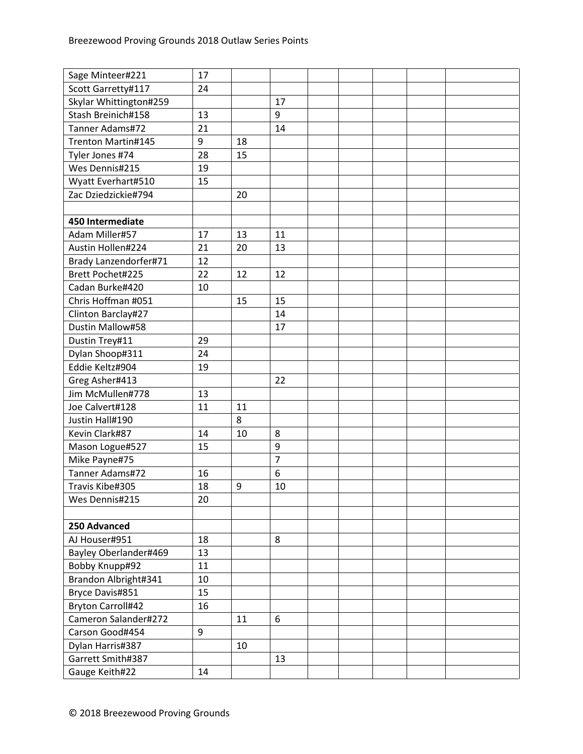| Sage Minteer#221         | 17 |    |                |  |  |  |
|--------------------------|----|----|----------------|--|--|--|
| Scott Garretty#117       | 24 |    |                |  |  |  |
| Skylar Whittington#259   |    |    | 17             |  |  |  |
| Stash Breinich#158       | 13 |    | 9              |  |  |  |
| Tanner Adams#72          | 21 |    | 14             |  |  |  |
| Trenton Martin#145       | 9  | 18 |                |  |  |  |
| Tyler Jones #74          | 28 | 15 |                |  |  |  |
| Wes Dennis#215           | 19 |    |                |  |  |  |
| Wyatt Everhart#510       | 15 |    |                |  |  |  |
| Zac Dziedzickie#794      |    | 20 |                |  |  |  |
|                          |    |    |                |  |  |  |
| 450 Intermediate         |    |    |                |  |  |  |
| Adam Miller#57           | 17 | 13 | 11             |  |  |  |
| Austin Hollen#224        | 21 | 20 | 13             |  |  |  |
| Brady Lanzendorfer#71    | 12 |    |                |  |  |  |
| Brett Pochet#225         | 22 | 12 | 12             |  |  |  |
| Cadan Burke#420          | 10 |    |                |  |  |  |
| Chris Hoffman #051       |    | 15 | 15             |  |  |  |
| Clinton Barclay#27       |    |    | 14             |  |  |  |
| Dustin Mallow#58         |    |    | 17             |  |  |  |
| Dustin Trey#11           | 29 |    |                |  |  |  |
| Dylan Shoop#311          | 24 |    |                |  |  |  |
| Eddie Keltz#904          | 19 |    |                |  |  |  |
| Greg Asher#413           |    |    | 22             |  |  |  |
| Jim McMullen#778         | 13 |    |                |  |  |  |
| Joe Calvert#128          | 11 | 11 |                |  |  |  |
| Justin Hall#190          |    | 8  |                |  |  |  |
| Kevin Clark#87           | 14 | 10 | 8              |  |  |  |
| Mason Logue#527          | 15 |    | 9              |  |  |  |
| Mike Payne#75            |    |    | $\overline{7}$ |  |  |  |
| Tanner Adams#72          | 16 |    | 6              |  |  |  |
| Travis Kibe#305          | 18 | 9  | 10             |  |  |  |
| Wes Dennis#215           | 20 |    |                |  |  |  |
|                          |    |    |                |  |  |  |
| 250 Advanced             |    |    |                |  |  |  |
| AJ Houser#951            | 18 |    | 8              |  |  |  |
| Bayley Oberlander#469    | 13 |    |                |  |  |  |
| Bobby Knupp#92           | 11 |    |                |  |  |  |
| Brandon Albright#341     | 10 |    |                |  |  |  |
| Bryce Davis#851          | 15 |    |                |  |  |  |
| <b>Bryton Carroll#42</b> | 16 |    |                |  |  |  |
| Cameron Salander#272     |    | 11 | 6              |  |  |  |
| Carson Good#454          | 9  |    |                |  |  |  |
| Dylan Harris#387         |    | 10 |                |  |  |  |
| Garrett Smith#387        |    |    | 13             |  |  |  |
| Gauge Keith#22           | 14 |    |                |  |  |  |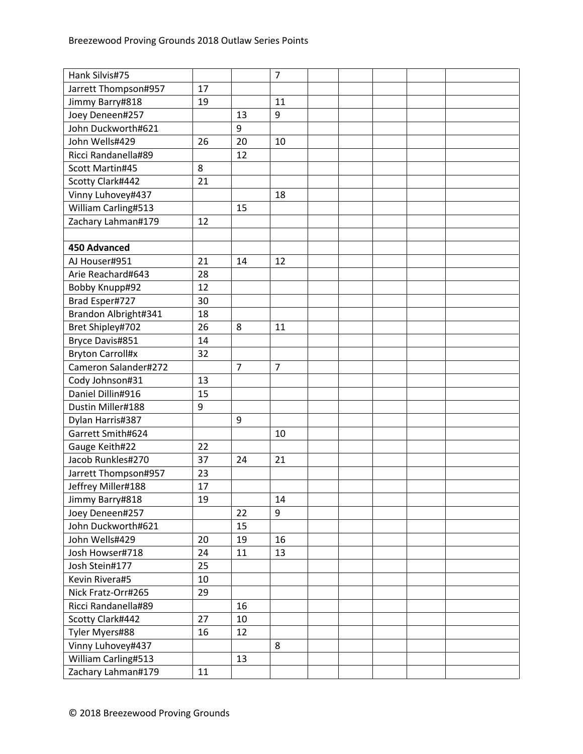| Hank Silvis#75          |    |                | $\overline{7}$ |  |  |  |
|-------------------------|----|----------------|----------------|--|--|--|
| Jarrett Thompson#957    | 17 |                |                |  |  |  |
| Jimmy Barry#818         | 19 |                | 11             |  |  |  |
| Joey Deneen#257         |    | 13             | 9              |  |  |  |
| John Duckworth#621      |    | 9              |                |  |  |  |
| John Wells#429          | 26 | 20             | 10             |  |  |  |
| Ricci Randanella#89     |    | 12             |                |  |  |  |
| Scott Martin#45         | 8  |                |                |  |  |  |
| Scotty Clark#442        | 21 |                |                |  |  |  |
| Vinny Luhovey#437       |    |                | 18             |  |  |  |
| William Carling#513     |    | 15             |                |  |  |  |
| Zachary Lahman#179      | 12 |                |                |  |  |  |
|                         |    |                |                |  |  |  |
| <b>450 Advanced</b>     |    |                |                |  |  |  |
| AJ Houser#951           | 21 | 14             | 12             |  |  |  |
| Arie Reachard#643       | 28 |                |                |  |  |  |
| Bobby Knupp#92          | 12 |                |                |  |  |  |
| Brad Esper#727          | 30 |                |                |  |  |  |
| Brandon Albright#341    | 18 |                |                |  |  |  |
| Bret Shipley#702        | 26 | 8              | 11             |  |  |  |
| Bryce Davis#851         | 14 |                |                |  |  |  |
| <b>Bryton Carroll#x</b> | 32 |                |                |  |  |  |
| Cameron Salander#272    |    | $\overline{7}$ | $\overline{7}$ |  |  |  |
| Cody Johnson#31         | 13 |                |                |  |  |  |
| Daniel Dillin#916       | 15 |                |                |  |  |  |
| Dustin Miller#188       | 9  |                |                |  |  |  |
| Dylan Harris#387        |    | 9              |                |  |  |  |
| Garrett Smith#624       |    |                | 10             |  |  |  |
| Gauge Keith#22          | 22 |                |                |  |  |  |
| Jacob Runkles#270       | 37 | 24             | 21             |  |  |  |
| Jarrett Thompson#957    | 23 |                |                |  |  |  |
| Jeffrey Miller#188      | 17 |                |                |  |  |  |
| Jimmy Barry#818         | 19 |                | 14             |  |  |  |
| Joey Deneen#257         |    | 22             | 9              |  |  |  |
| John Duckworth#621      |    | 15             |                |  |  |  |
| John Wells#429          | 20 | 19             | 16             |  |  |  |
| Josh Howser#718         | 24 | 11             | 13             |  |  |  |
| Josh Stein#177          | 25 |                |                |  |  |  |
| Kevin Rivera#5          | 10 |                |                |  |  |  |
| Nick Fratz-Orr#265      | 29 |                |                |  |  |  |
| Ricci Randanella#89     |    | 16             |                |  |  |  |
| Scotty Clark#442        | 27 | 10             |                |  |  |  |
| Tyler Myers#88          | 16 | 12             |                |  |  |  |
| Vinny Luhovey#437       |    |                | 8              |  |  |  |
| William Carling#513     |    | 13             |                |  |  |  |
| Zachary Lahman#179      | 11 |                |                |  |  |  |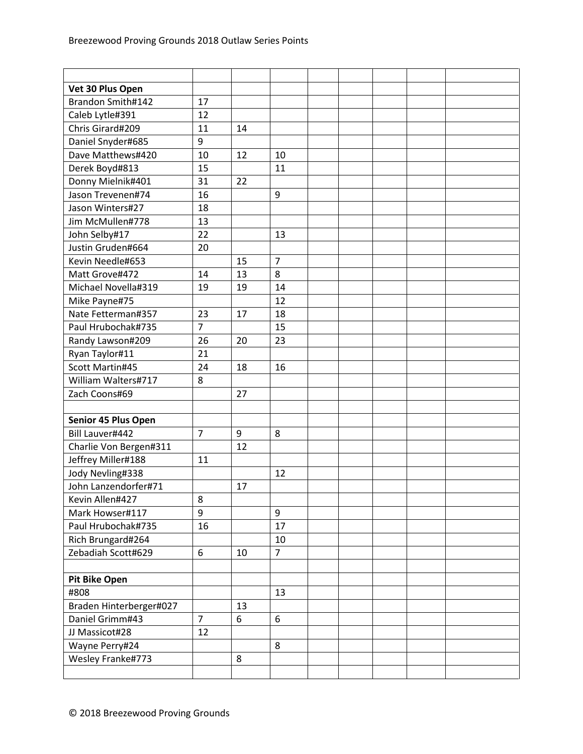| Vet 30 Plus Open        |                |    |                |  |  |  |
|-------------------------|----------------|----|----------------|--|--|--|
| Brandon Smith#142       | 17             |    |                |  |  |  |
| Caleb Lytle#391         | 12             |    |                |  |  |  |
| Chris Girard#209        | 11             | 14 |                |  |  |  |
| Daniel Snyder#685       | 9              |    |                |  |  |  |
| Dave Matthews#420       | 10             | 12 | 10             |  |  |  |
| Derek Boyd#813          | 15             |    | 11             |  |  |  |
| Donny Mielnik#401       | 31             | 22 |                |  |  |  |
| Jason Trevenen#74       | 16             |    | 9              |  |  |  |
| Jason Winters#27        | 18             |    |                |  |  |  |
| Jim McMullen#778        | 13             |    |                |  |  |  |
| John Selby#17           | 22             |    | 13             |  |  |  |
| Justin Gruden#664       | 20             |    |                |  |  |  |
| Kevin Needle#653        |                | 15 | $\overline{7}$ |  |  |  |
| Matt Grove#472          | 14             | 13 | 8              |  |  |  |
| Michael Novella#319     | 19             | 19 | 14             |  |  |  |
| Mike Payne#75           |                |    | 12             |  |  |  |
| Nate Fetterman#357      | 23             | 17 | 18             |  |  |  |
| Paul Hrubochak#735      | $\overline{7}$ |    | 15             |  |  |  |
| Randy Lawson#209        | 26             | 20 | 23             |  |  |  |
| Ryan Taylor#11          | 21             |    |                |  |  |  |
| Scott Martin#45         | 24             | 18 | 16             |  |  |  |
| William Walters#717     | 8              |    |                |  |  |  |
| Zach Coons#69           |                | 27 |                |  |  |  |
|                         |                |    |                |  |  |  |
| Senior 45 Plus Open     |                |    |                |  |  |  |
| Bill Lauver#442         | $\overline{7}$ | 9  | 8              |  |  |  |
| Charlie Von Bergen#311  |                | 12 |                |  |  |  |
| Jeffrey Miller#188      | 11             |    |                |  |  |  |
| Jody Nevling#338        |                |    | 12             |  |  |  |
| John Lanzendorfer#71    |                | 17 |                |  |  |  |
| Kevin Allen#427         | 8              |    |                |  |  |  |
| Mark Howser#117         | 9              |    | 9              |  |  |  |
| Paul Hrubochak#735      | 16             |    | 17             |  |  |  |
| Rich Brungard#264       |                |    | 10             |  |  |  |
| Zebadiah Scott#629      | 6              | 10 | $\overline{7}$ |  |  |  |
|                         |                |    |                |  |  |  |
| <b>Pit Bike Open</b>    |                |    |                |  |  |  |
| #808                    |                |    | 13             |  |  |  |
| Braden Hinterberger#027 |                | 13 |                |  |  |  |
| Daniel Grimm#43         | $\overline{7}$ | 6  | 6              |  |  |  |
| JJ Massicot#28          | 12             |    |                |  |  |  |
| Wayne Perry#24          |                |    | 8              |  |  |  |
| Wesley Franke#773       |                | 8  |                |  |  |  |
|                         |                |    |                |  |  |  |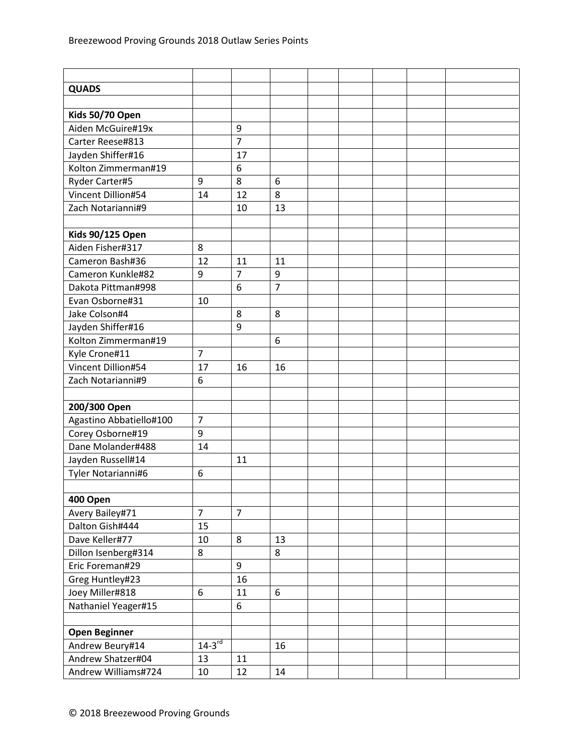| <b>QUADS</b>            |                |                  |                |  |  |  |
|-------------------------|----------------|------------------|----------------|--|--|--|
|                         |                |                  |                |  |  |  |
| Kids 50/70 Open         |                |                  |                |  |  |  |
| Aiden McGuire#19x       |                | 9                |                |  |  |  |
| Carter Reese#813        |                | $\overline{7}$   |                |  |  |  |
| Jayden Shiffer#16       |                | 17               |                |  |  |  |
| Kolton Zimmerman#19     |                | 6                |                |  |  |  |
| Ryder Carter#5          | 9              | 8                | 6              |  |  |  |
| Vincent Dillion#54      | 14             | 12               | 8              |  |  |  |
| Zach Notarianni#9       |                | 10               | 13             |  |  |  |
|                         |                |                  |                |  |  |  |
| <b>Kids 90/125 Open</b> |                |                  |                |  |  |  |
| Aiden Fisher#317        | 8              |                  |                |  |  |  |
| Cameron Bash#36         | 12             | 11               | 11             |  |  |  |
| Cameron Kunkle#82       | 9              | $\overline{7}$   | 9              |  |  |  |
| Dakota Pittman#998      |                | 6                | $\overline{7}$ |  |  |  |
| Evan Osborne#31         | 10             |                  |                |  |  |  |
| Jake Colson#4           |                | 8                | 8              |  |  |  |
| Jayden Shiffer#16       |                | 9                |                |  |  |  |
| Kolton Zimmerman#19     |                |                  | 6              |  |  |  |
| Kyle Crone#11           | $\overline{7}$ |                  |                |  |  |  |
| Vincent Dillion#54      | 17             | 16               | 16             |  |  |  |
| Zach Notarianni#9       | 6              |                  |                |  |  |  |
|                         |                |                  |                |  |  |  |
| 200/300 Open            |                |                  |                |  |  |  |
| Agastino Abbatiello#100 | $\overline{7}$ |                  |                |  |  |  |
| Corey Osborne#19        | 9              |                  |                |  |  |  |
| Dane Molander#488       | 14             |                  |                |  |  |  |
| Jayden Russell#14       |                | 11               |                |  |  |  |
| Tyler Notarianni#6      | 6              |                  |                |  |  |  |
|                         |                |                  |                |  |  |  |
| 400 Open                |                |                  |                |  |  |  |
| Avery Bailey#71         | $\overline{7}$ | $\overline{7}$   |                |  |  |  |
| Dalton Gish#444         | 15             |                  |                |  |  |  |
| Dave Keller#77          | 10             | 8                | 13             |  |  |  |
| Dillon Isenberg#314     | 8              |                  | 8              |  |  |  |
| Eric Foreman#29         |                | $\boldsymbol{9}$ |                |  |  |  |
| Greg Huntley#23         |                | 16               |                |  |  |  |
| Joey Miller#818         | 6              | 11               | 6              |  |  |  |
| Nathaniel Yeager#15     |                | 6                |                |  |  |  |
|                         |                |                  |                |  |  |  |
| <b>Open Beginner</b>    |                |                  |                |  |  |  |
| Andrew Beury#14         | $14-3^{rd}$    |                  | 16             |  |  |  |
| Andrew Shatzer#04       | 13             | 11               |                |  |  |  |
| Andrew Williams#724     | 10             | 12               | 14             |  |  |  |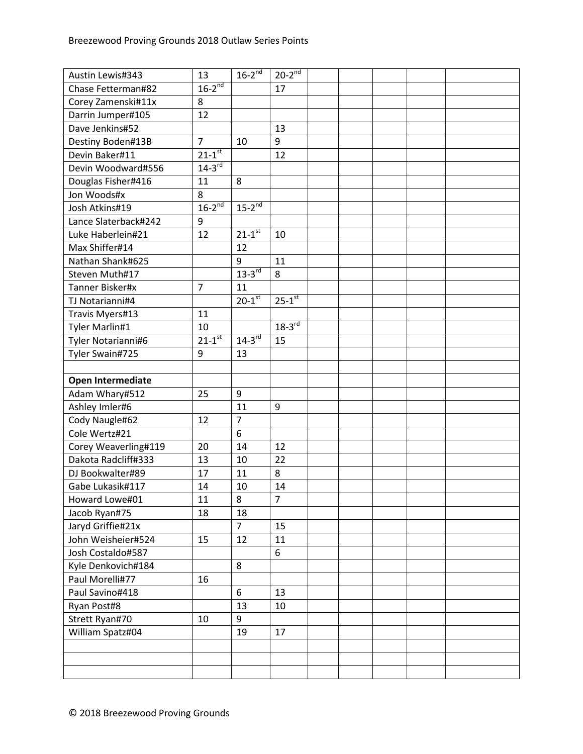| Austin Lewis#343     | 13                     | $16-2^{nd}$            | $20-2^{nd}$            |  |  |  |
|----------------------|------------------------|------------------------|------------------------|--|--|--|
| Chase Fetterman#82   | $16-2^{nd}$            |                        | 17                     |  |  |  |
| Corey Zamenski#11x   | 8                      |                        |                        |  |  |  |
| Darrin Jumper#105    | 12                     |                        |                        |  |  |  |
| Dave Jenkins#52      |                        |                        | 13                     |  |  |  |
| Destiny Boden#13B    | $\overline{7}$         | 10                     | 9                      |  |  |  |
| Devin Baker#11       | $21 - 1$ <sup>st</sup> |                        | 12                     |  |  |  |
| Devin Woodward#556   | $14-3$ <sup>rd</sup>   |                        |                        |  |  |  |
| Douglas Fisher#416   | 11                     | 8                      |                        |  |  |  |
| Jon Woods#x          | 8                      |                        |                        |  |  |  |
| Josh Atkins#19       | $16-2^{nd}$            | $15-2^{nd}$            |                        |  |  |  |
| Lance Slaterback#242 | 9                      |                        |                        |  |  |  |
| Luke Haberlein#21    | 12                     | $21 - 1$ <sup>st</sup> | 10                     |  |  |  |
| Max Shiffer#14       |                        | 12                     |                        |  |  |  |
| Nathan Shank#625     |                        | 9                      | 11                     |  |  |  |
| Steven Muth#17       |                        | $13-3$ <sup>rd</sup>   | 8                      |  |  |  |
| Tanner Bisker#x      | $\overline{7}$         | 11                     |                        |  |  |  |
| TJ Notarianni#4      |                        | $20 - 1$ <sup>st</sup> | $25 - 1$ <sup>st</sup> |  |  |  |
| Travis Myers#13      | 11                     |                        |                        |  |  |  |
| Tyler Marlin#1       | 10                     |                        | $18-3^{rd}$            |  |  |  |
| Tyler Notarianni#6   | $21 - 1$ <sup>st</sup> | $14-3^{rd}$            | 15                     |  |  |  |
| Tyler Swain#725      | 9                      | 13                     |                        |  |  |  |
|                      |                        |                        |                        |  |  |  |
| Open Intermediate    |                        |                        |                        |  |  |  |
| Adam Whary#512       | 25                     | 9                      |                        |  |  |  |
| Ashley Imler#6       |                        | 11                     | 9                      |  |  |  |
| Cody Naugle#62       | 12                     | $\overline{7}$         |                        |  |  |  |
| Cole Wertz#21        |                        | 6                      |                        |  |  |  |
| Corey Weaverling#119 | 20                     | 14                     | 12                     |  |  |  |
| Dakota Radcliff#333  | 13                     | 10                     | 22                     |  |  |  |
| DJ Bookwalter#89     | 17                     | 11                     | 8                      |  |  |  |
| Gabe Lukasik#117     | 14                     | 10                     | 14                     |  |  |  |
| Howard Lowe#01       | 11                     | 8                      | 7                      |  |  |  |
| Jacob Ryan#75        | 18                     | 18                     |                        |  |  |  |
| Jaryd Griffie#21x    |                        | $\overline{7}$         | 15                     |  |  |  |
| John Weisheier#524   | 15                     | 12                     | 11                     |  |  |  |
| Josh Costaldo#587    |                        |                        | 6                      |  |  |  |
| Kyle Denkovich#184   |                        | 8                      |                        |  |  |  |
| Paul Morelli#77      | 16                     |                        |                        |  |  |  |
| Paul Savino#418      |                        | 6                      | 13                     |  |  |  |
| Ryan Post#8          |                        | 13                     | 10                     |  |  |  |
| Strett Ryan#70       | 10                     | 9                      |                        |  |  |  |
| William Spatz#04     |                        | 19                     | 17                     |  |  |  |
|                      |                        |                        |                        |  |  |  |
|                      |                        |                        |                        |  |  |  |
|                      |                        |                        |                        |  |  |  |
|                      |                        |                        |                        |  |  |  |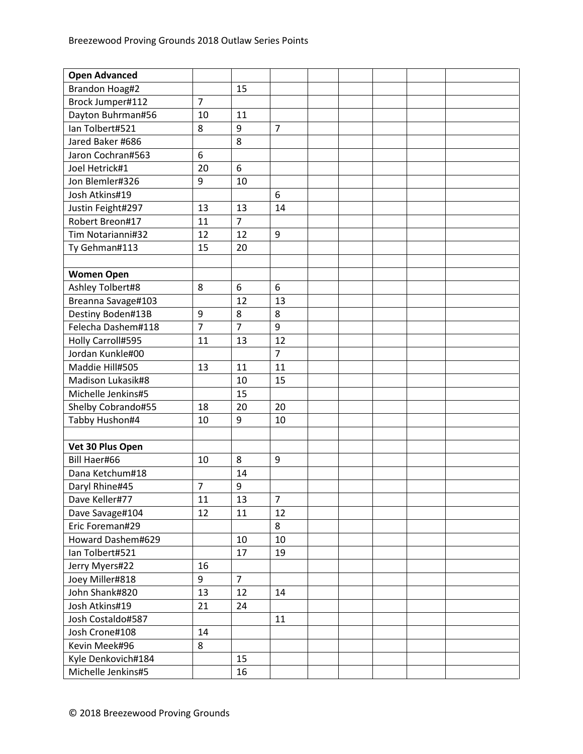| <b>Open Advanced</b> |                |                |                |  |  |  |
|----------------------|----------------|----------------|----------------|--|--|--|
| Brandon Hoag#2       |                | 15             |                |  |  |  |
| Brock Jumper#112     | $\overline{7}$ |                |                |  |  |  |
| Dayton Buhrman#56    | 10             | 11             |                |  |  |  |
| Ian Tolbert#521      | 8              | 9              | $\overline{7}$ |  |  |  |
| Jared Baker #686     |                | 8              |                |  |  |  |
| Jaron Cochran#563    | 6              |                |                |  |  |  |
| Joel Hetrick#1       | 20             | 6              |                |  |  |  |
| Jon Blemler#326      | 9              | 10             |                |  |  |  |
| Josh Atkins#19       |                |                | 6              |  |  |  |
| Justin Feight#297    | 13             | 13             | 14             |  |  |  |
| Robert Breon#17      | 11             | $\overline{7}$ |                |  |  |  |
| Tim Notarianni#32    | 12             | 12             | 9              |  |  |  |
| Ty Gehman#113        | 15             | 20             |                |  |  |  |
|                      |                |                |                |  |  |  |
| <b>Women Open</b>    |                |                |                |  |  |  |
| Ashley Tolbert#8     | 8              | 6              | 6              |  |  |  |
| Breanna Savage#103   |                | 12             | 13             |  |  |  |
| Destiny Boden#13B    | 9              | 8              | 8              |  |  |  |
| Felecha Dashem#118   | $\overline{7}$ | $\overline{7}$ | 9              |  |  |  |
| Holly Carroll#595    | 11             | 13             | 12             |  |  |  |
| Jordan Kunkle#00     |                |                | $\overline{7}$ |  |  |  |
| Maddie Hill#505      | 13             | 11             | 11             |  |  |  |
| Madison Lukasik#8    |                | 10             | 15             |  |  |  |
| Michelle Jenkins#5   |                | 15             |                |  |  |  |
| Shelby Cobrando#55   | 18             | 20             | 20             |  |  |  |
| Tabby Hushon#4       | 10             | 9              | 10             |  |  |  |
|                      |                |                |                |  |  |  |
| Vet 30 Plus Open     |                |                |                |  |  |  |
| Bill Haer#66         | 10             | 8              | 9              |  |  |  |
| Dana Ketchum#18      |                | 14             |                |  |  |  |
| Daryl Rhine#45       | $\overline{7}$ | 9              |                |  |  |  |
| Dave Keller#77       | 11             | 13             | $\overline{7}$ |  |  |  |
| Dave Savage#104      | 12             | 11             | 12             |  |  |  |
| Eric Foreman#29      |                |                | 8              |  |  |  |
| Howard Dashem#629    |                | 10             | 10             |  |  |  |
| Ian Tolbert#521      |                | 17             | 19             |  |  |  |
| Jerry Myers#22       | 16             |                |                |  |  |  |
| Joey Miller#818      | 9              | $\overline{7}$ |                |  |  |  |
| John Shank#820       | 13             | 12             | 14             |  |  |  |
| Josh Atkins#19       | 21             | 24             |                |  |  |  |
| Josh Costaldo#587    |                |                | 11             |  |  |  |
| Josh Crone#108       | 14             |                |                |  |  |  |
| Kevin Meek#96        | 8              |                |                |  |  |  |
| Kyle Denkovich#184   |                | 15             |                |  |  |  |
| Michelle Jenkins#5   |                | 16             |                |  |  |  |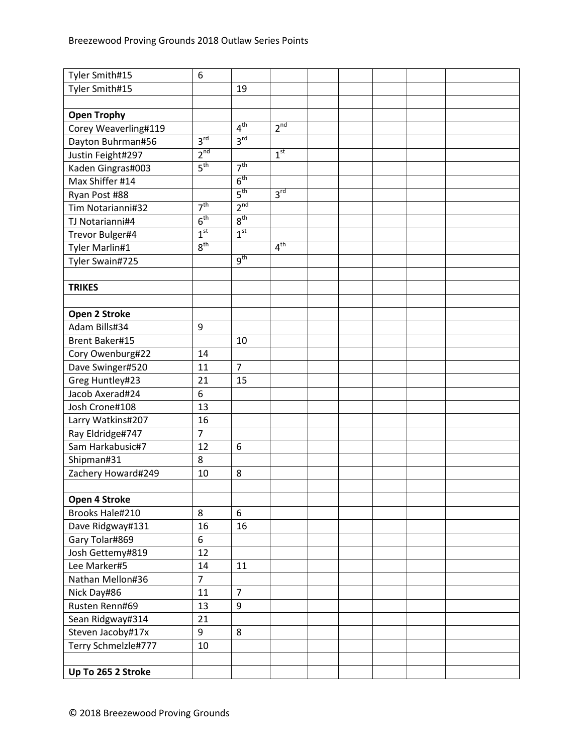| Tyler Smith#15        | 6               |                 |                 |  |  |  |
|-----------------------|-----------------|-----------------|-----------------|--|--|--|
| Tyler Smith#15        |                 | 19              |                 |  |  |  |
|                       |                 |                 |                 |  |  |  |
| <b>Open Trophy</b>    |                 |                 |                 |  |  |  |
| Corey Weaverling#119  |                 | 4 <sup>th</sup> | 2 <sup>nd</sup> |  |  |  |
| Dayton Buhrman#56     | 3 <sup>rd</sup> | 3 <sup>rd</sup> |                 |  |  |  |
| Justin Feight#297     | 2 <sup>nd</sup> |                 | 1 <sup>st</sup> |  |  |  |
| Kaden Gingras#003     | 5 <sup>th</sup> | 7 <sup>th</sup> |                 |  |  |  |
| Max Shiffer #14       |                 | 6 <sup>th</sup> |                 |  |  |  |
| Ryan Post #88         |                 | 5 <sup>th</sup> | 3 <sup>rd</sup> |  |  |  |
| Tim Notarianni#32     | 7 <sup>th</sup> | 2 <sup>nd</sup> |                 |  |  |  |
| TJ Notarianni#4       | 6 <sup>th</sup> | 8 <sup>th</sup> |                 |  |  |  |
| Trevor Bulger#4       | 1 <sup>st</sup> | 1 <sup>st</sup> |                 |  |  |  |
| Tyler Marlin#1        | 8 <sup>th</sup> |                 | 4 <sup>th</sup> |  |  |  |
| Tyler Swain#725       |                 | 9 <sup>th</sup> |                 |  |  |  |
|                       |                 |                 |                 |  |  |  |
| <b>TRIKES</b>         |                 |                 |                 |  |  |  |
|                       |                 |                 |                 |  |  |  |
| Open 2 Stroke         |                 |                 |                 |  |  |  |
| Adam Bills#34         | 9               |                 |                 |  |  |  |
| <b>Brent Baker#15</b> |                 | 10              |                 |  |  |  |
| Cory Owenburg#22      | 14              |                 |                 |  |  |  |
| Dave Swinger#520      | 11              | $\overline{7}$  |                 |  |  |  |
| Greg Huntley#23       | 21              | 15              |                 |  |  |  |
| Jacob Axerad#24       | 6               |                 |                 |  |  |  |
| Josh Crone#108        | 13              |                 |                 |  |  |  |
| Larry Watkins#207     | 16              |                 |                 |  |  |  |
| Ray Eldridge#747      | $\overline{7}$  |                 |                 |  |  |  |
| Sam Harkabusic#7      | 12              | 6               |                 |  |  |  |
| Shipman#31            | 8               |                 |                 |  |  |  |
| Zachery Howard#249    | 10              | 8               |                 |  |  |  |
|                       |                 |                 |                 |  |  |  |
| Open 4 Stroke         |                 |                 |                 |  |  |  |
| Brooks Hale#210       | 8               | 6               |                 |  |  |  |
| Dave Ridgway#131      | 16              | 16              |                 |  |  |  |
| Gary Tolar#869        | 6               |                 |                 |  |  |  |
| Josh Gettemy#819      | 12              |                 |                 |  |  |  |
| Lee Marker#5          | 14              | 11              |                 |  |  |  |
| Nathan Mellon#36      | $\overline{7}$  |                 |                 |  |  |  |
| Nick Day#86           | 11              | $\overline{7}$  |                 |  |  |  |
| Rusten Renn#69        | 13              | 9               |                 |  |  |  |
| Sean Ridgway#314      | 21              |                 |                 |  |  |  |
| Steven Jacoby#17x     | 9               | 8               |                 |  |  |  |
| Terry Schmelzle#777   | 10              |                 |                 |  |  |  |
|                       |                 |                 |                 |  |  |  |
| Up To 265 2 Stroke    |                 |                 |                 |  |  |  |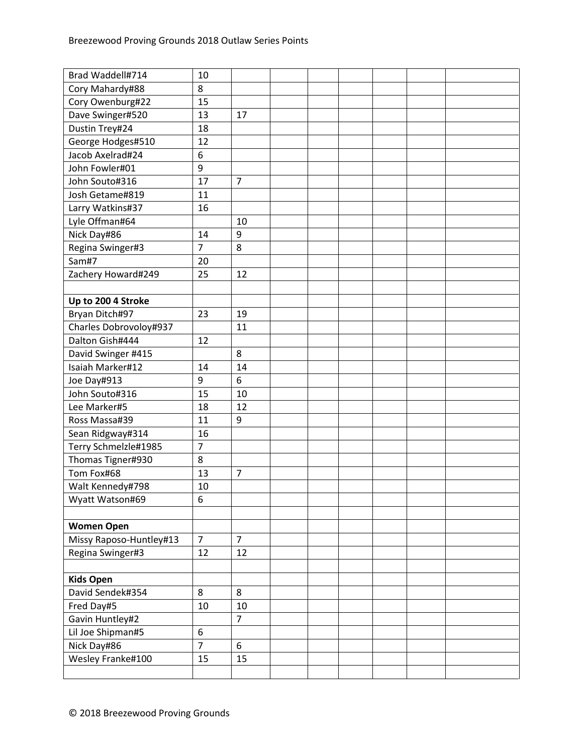| Brad Waddell#714        | 10               |                |  |  |  |
|-------------------------|------------------|----------------|--|--|--|
| Cory Mahardy#88         | 8                |                |  |  |  |
| Cory Owenburg#22        | 15               |                |  |  |  |
| Dave Swinger#520        | 13               | 17             |  |  |  |
| Dustin Trey#24          | 18               |                |  |  |  |
| George Hodges#510       | 12               |                |  |  |  |
| Jacob Axelrad#24        | 6                |                |  |  |  |
| John Fowler#01          | 9                |                |  |  |  |
| John Souto#316          | 17               | $\overline{7}$ |  |  |  |
| Josh Getame#819         | 11               |                |  |  |  |
| Larry Watkins#37        | 16               |                |  |  |  |
| Lyle Offman#64          |                  | 10             |  |  |  |
| Nick Day#86             | 14               | 9              |  |  |  |
| Regina Swinger#3        | $\overline{7}$   | 8              |  |  |  |
| Sam#7                   | 20               |                |  |  |  |
| Zachery Howard#249      | 25               | 12             |  |  |  |
|                         |                  |                |  |  |  |
| Up to 200 4 Stroke      |                  |                |  |  |  |
| Bryan Ditch#97          | 23               | 19             |  |  |  |
| Charles Dobrovoloy#937  |                  | 11             |  |  |  |
| Dalton Gish#444         | 12               |                |  |  |  |
| David Swinger #415      |                  | 8              |  |  |  |
| Isaiah Marker#12        | 14               | 14             |  |  |  |
| Joe Day#913             | 9                | 6              |  |  |  |
| John Souto#316          | 15               | 10             |  |  |  |
| Lee Marker#5            | 18               | 12             |  |  |  |
| Ross Massa#39           | 11               | 9              |  |  |  |
| Sean Ridgway#314        | 16               |                |  |  |  |
| Terry Schmelzle#1985    | $\overline{7}$   |                |  |  |  |
| Thomas Tigner#930       | 8                |                |  |  |  |
| Tom Fox#68              | 13               | $\overline{7}$ |  |  |  |
| Walt Kennedy#798        | 10               |                |  |  |  |
| Wyatt Watson#69         | 6                |                |  |  |  |
|                         |                  |                |  |  |  |
| <b>Women Open</b>       |                  |                |  |  |  |
| Missy Raposo-Huntley#13 | $\overline{7}$   | $\overline{7}$ |  |  |  |
| Regina Swinger#3        | 12               | 12             |  |  |  |
|                         |                  |                |  |  |  |
| <b>Kids Open</b>        |                  |                |  |  |  |
| David Sendek#354        | 8                | 8              |  |  |  |
| Fred Day#5              | 10               | 10             |  |  |  |
| Gavin Huntley#2         |                  | $\overline{7}$ |  |  |  |
| Lil Joe Shipman#5       | $\boldsymbol{6}$ |                |  |  |  |
| Nick Day#86             | $\overline{7}$   | $6\phantom{a}$ |  |  |  |
| Wesley Franke#100       | 15               | 15             |  |  |  |
|                         |                  |                |  |  |  |
|                         |                  |                |  |  |  |